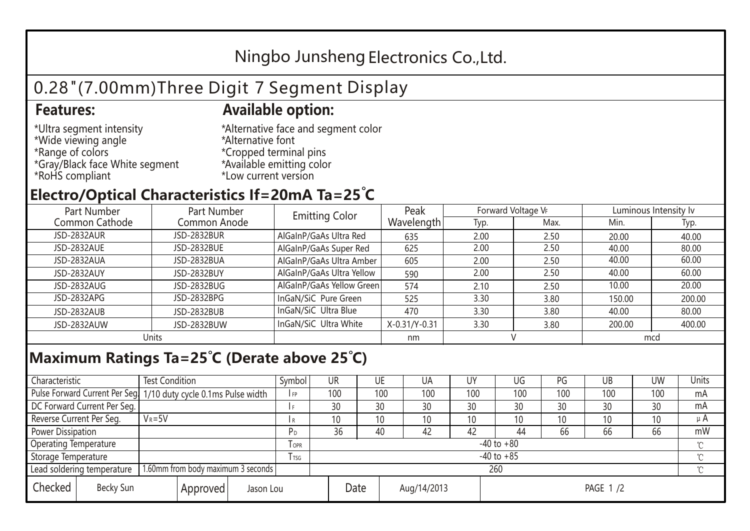## Ningbo Junsheng Electronics Co.,Ltd.

# 0.28"(7.00mm)Three Digit 7 Segment Display

#### **Features: Available option:**

- \*Ultra segment intensity \*Wide viewing angle \*Range of colors \*Gray/Black face White segment \*RoHS compliant
- \*Alternative face and segment color \*Alternative font \*Cropped terminal pins \*Available emitting color \*Low current version

### **Electro/Optical Characteristics If=20mA Ta=25 C**

| Part Number        | Part Number        | <b>Emitting Color</b>     | Peak          | Forward Voltage VF |      | Luminous Intensity lv |        |  |
|--------------------|--------------------|---------------------------|---------------|--------------------|------|-----------------------|--------|--|
| Common Cathode     | Common Anode       |                           | Wavelength    | Typ.               | Max. | Min.                  | Typ.   |  |
| <b>JSD-2832AUR</b> | <b>JSD-2832BUR</b> | AlGaInP/GaAs Ultra Red    | 635           | 2.00               | 2.50 | 20.00                 | 40.00  |  |
| JSD-2832AUE        | JSD-2832BUE        | AlGaInP/GaAs Super Red    | 625           | 2.00               | 2.50 | 40.00                 | 80.00  |  |
| JSD-2832AUA        | JSD-2832BUA        | AlGaInP/GaAs Ultra Amber  | 605           | 2.00               | 2.50 | 40.00                 | 60.00  |  |
| JSD-2832AUY        | JSD-2832BUY        | AlGaInP/GaAs Ultra Yellow | 590           | 2.00               | 2.50 | 40.00                 | 60.00  |  |
| JSD-2832AUG        | JSD-2832BUG        | AlGaInP/GaAs Yellow Green | 574           | 2.10               | 2.50 | 10.00                 | 20.00  |  |
| JSD-2832APG        | JSD-2832BPG        | InGaN/SiC Pure Green      | 525           | 3.30               | 3.80 | 150.00                | 200.00 |  |
| JSD-2832AUB        | JSD-2832BUB        | InGaN/SiC Ultra Blue      | 470           | 3.30               | 3.80 | 40.00                 | 80.00  |  |
| JSD-2832AUW        | JSD-2832BUW        | InGaN/SiC Ultra White     | X-0.31/Y-0.31 | 3.30               | 3.80 | 200.00                | 400.00 |  |
| Units              |                    |                           | nm            |                    |      | mcd                   |        |  |

### **Maximum Ratings Ta=25°C (Derate above 25°C)**

| Characteristic               |                                    | <b>Test Condition</b><br>Symbol                                 |                |         | UR              | UE |             | UA  | UΥ              | UG  | PG  | UB       | <b>UW</b> | Units   |
|------------------------------|------------------------------------|-----------------------------------------------------------------|----------------|---------|-----------------|----|-------------|-----|-----------------|-----|-----|----------|-----------|---------|
|                              |                                    | Pulse Forward Current Per Seg 1/10 duty cycle 0.1ms Pulse width |                |         | 100             |    | 100         | 100 | 100             | 100 | 100 | 100      | 100       | mA      |
| DC Forward Current Per Seg.  |                                    |                                                                 |                |         | 30              | 30 |             | 30  | 30              | 30  | 30  | 30       | 30        | mA      |
| Reverse Current Per Seg.     | $V_R = 5V$                         |                                                                 |                | I R     | 10 <sup>1</sup> | 10 |             | 10  | 10              | 10  | 10  | 10       | 10        | $\mu$ A |
| <b>Power Dissipation</b>     |                                    |                                                                 |                |         | 36              | 40 |             | 42  | 42              | 44  | 66  | 66       | 66        | mW      |
| <b>Operating Temperature</b> |                                    |                                                                 |                | $I$ OPR | $-40$ to $+80$  |    |             |     |                 |     |     |          |           |         |
| Storage Temperature          |                                    | l tsg                                                           | $-40$ to $+85$ |         |                 |    |             |     |                 |     |     | $\gamma$ |           |         |
| Lead soldering temperature   |                                    | 1.60mm from body maximum 3 seconds                              |                |         | 260             |    |             |     |                 |     |     |          |           |         |
| Checked                      | Becky Sun<br>Approved<br>Jason Lou |                                                                 |                | Date    |                 |    | Aug/14/2013 |     | <b>PAGE 1/2</b> |     |     |          |           |         |